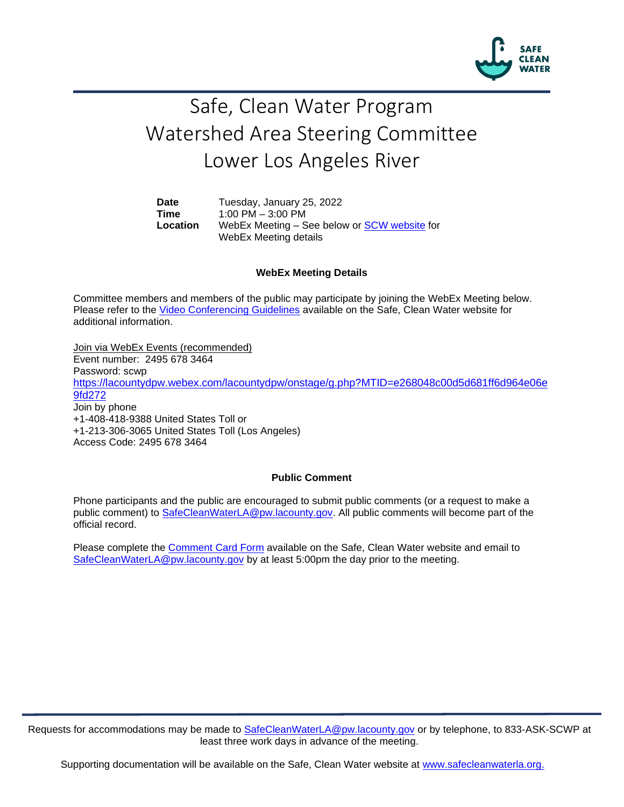

## Safe, Clean Water Program Watershed Area Steering Committee Lower Los Angeles River

**Date** Tuesday, January 25, 2022 **Time** 1:00 PM – 3:00 PM **Location** WebEx Meeting – See below or [SCW website](https://safecleanwaterla.org/lower-los-angeles-river-watershed-area/) for WebEx Meeting details

## **WebEx Meeting Details**

Committee members and members of the public may participate by joining the WebEx Meeting below. Please refer to the [Video Conferencing Guidelines](https://safecleanwaterla.org/video-conference-guidelines/) available on the Safe, Clean Water website for additional information.

Join via WebEx Events (recommended) Event number: 2495 678 3464 Password: scw[p](https://lacountydpw.webex.com/lacountydpw/onstage/g.php?MTID=e268048c00d5d681ff6d964e06e9fd272) [https://lacountydpw.webex.com/lacountydpw/onstage/g.php?MTID=e268048c00d5d681ff6d964e06e](https://lacountydpw.webex.com/lacountydpw/onstage/g.php?MTID=e268048c00d5d681ff6d964e06e9fd272) [9fd272](https://lacountydpw.webex.com/lacountydpw/onstage/g.php?MTID=e268048c00d5d681ff6d964e06e9fd272) Join by phone +1-408-418-9388 United States Toll or +1-213-306-3065 United States Toll (Los Angeles) Access Code: 2495 678 3464

## **Public Comment**

Phone participants and the public are encouraged to submit public comments (or a request to make a public comment) to [SafeCleanWaterLA@pw.lacounty.gov.](mailto:SafeCleanWaterLA@pw.lacounty.gov) All public comments will become part of the official record.

Please complete the Comment [Card Form](https://safecleanwaterla.org/video-conference-guidelines/) available on the Safe, Clean Water website and email to [SafeCleanWaterLA@pw.lacounty.gov](mailto:SafeCleanWaterLA@pw.lacounty.gov) by at least 5:00pm the day prior to the meeting.

Requests for accommodations may be made to [SafeCleanWaterLA@pw.lacounty.gov](mailto:SafeCleanWaterLA@pw.lacounty.gov) or by telephone, to 833-ASK-SCWP at least three work days in advance of the meeting.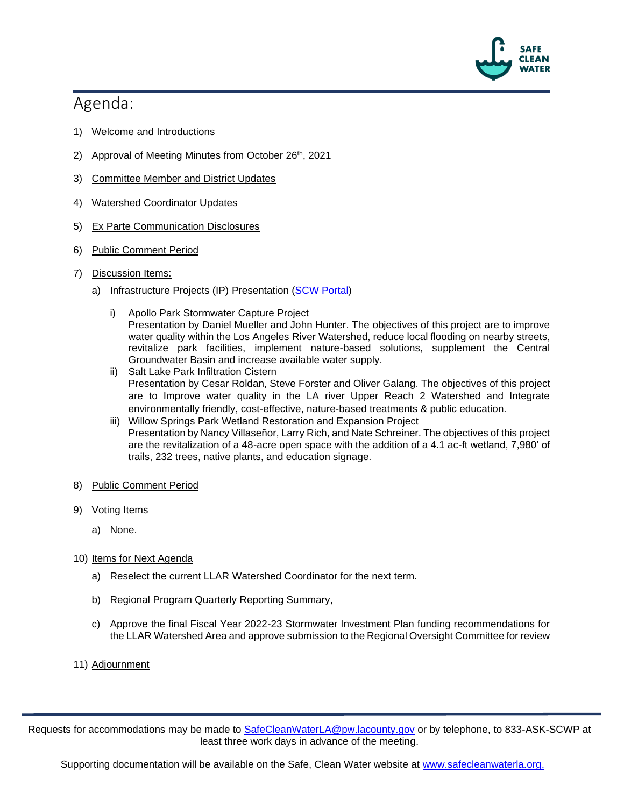

## Agenda:

- 1) Welcome and Introductions
- 2) Approval of Meeting Minutes from October 26<sup>th</sup>, 2021
- 3) Committee Member and District Updates
- 4) Watershed Coordinator Updates
- 5) Ex Parte Communication Disclosures
- 6) Public Comment Period
- 7) Discussion Items:
	- a) Infrastructure Projects (IP) Presentation [\(SCW Portal\)](https://portal.safecleanwaterla.org/scw-reporting/dashboard)
		- i) Apollo Park Stormwater Capture Project Presentation by Daniel Mueller and John Hunter. The objectives of this project are to improve water quality within the Los Angeles River Watershed, reduce local flooding on nearby streets, revitalize park facilities, implement nature-based solutions, supplement the Central Groundwater Basin and increase available water supply.
		- ii) Salt Lake Park Infiltration Cistern Presentation by Cesar Roldan, Steve Forster and Oliver Galang. The objectives of this project are to Improve water quality in the LA river Upper Reach 2 Watershed and Integrate environmentally friendly, cost-effective, nature-based treatments & public education.
		- iii) Willow Springs Park Wetland Restoration and Expansion Project Presentation by Nancy Villaseñor, Larry Rich, and Nate Schreiner. The objectives of this project are the revitalization of a 48-acre open space with the addition of a 4.1 ac-ft wetland, 7,980' of trails, 232 trees, native plants, and education signage.
- 8) Public Comment Period
- 9) Voting Items
	- a) None.
- 10) Items for Next Agenda
	- a) Reselect the current LLAR Watershed Coordinator for the next term.
	- b) Regional Program Quarterly Reporting Summary,
	- c) Approve the final Fiscal Year 2022-23 Stormwater Investment Plan funding recommendations for the LLAR Watershed Area and approve submission to the Regional Oversight Committee for review
- 11) Adjournment

Requests for accommodations may be made to [SafeCleanWaterLA@pw.lacounty.gov](mailto:SafeCleanWaterLA@pw.lacounty.gov) or by telephone, to 833-ASK-SCWP at least three work days in advance of the meeting.

Supporting documentation will be available on the Safe, Clean Water website at [www.safecleanwaterla.org.](http://www.safecleanwaterla.org/)